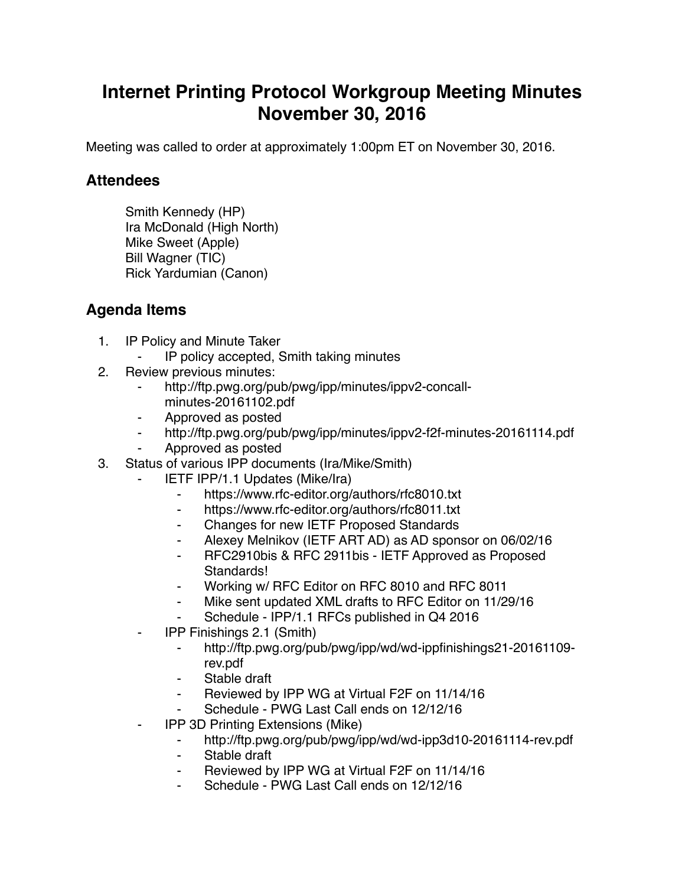## **Internet Printing Protocol Workgroup Meeting Minutes November 30, 2016**

Meeting was called to order at approximately 1:00pm ET on November 30, 2016.

## **Attendees**

Smith Kennedy (HP) Ira McDonald (High North) Mike Sweet (Apple) Bill Wagner (TIC) Rick Yardumian (Canon)

## **Agenda Items**

- 1. IP Policy and Minute Taker
	- ⁃ IP policy accepted, Smith taking minutes
- 2. Review previous minutes:
	- http://ftp.pwg.org/pub/pwg/ipp/minutes/ippv2-concallminutes-20161102.pdf
	- ⁃ Approved as posted
	- ⁃ http://ftp.pwg.org/pub/pwg/ipp/minutes/ippv2-f2f-minutes-20161114.pdf
	- ⁃ Approved as posted
- 3. Status of various IPP documents (Ira/Mike/Smith)
	- **IETF IPP/1.1 Updates (Mike/Ira)** 
		- ⁃ https://www.rfc-editor.org/authors/rfc8010.txt
		- ⁃ https://www.rfc-editor.org/authors/rfc8011.txt
		- ⁃ Changes for new IETF Proposed Standards
		- Alexey Melnikov (IETF ART AD) as AD sponsor on 06/02/16
		- ⁃ RFC2910bis & RFC 2911bis IETF Approved as Proposed Standards!
		- ⁃ Working w/ RFC Editor on RFC 8010 and RFC 8011
		- Mike sent updated XML drafts to RFC Editor on 11/29/16
		- Schedule IPP/1.1 RFCs published in Q4 2016
	- ⁃ IPP Finishings 2.1 (Smith)
		- ⁃ http://ftp.pwg.org/pub/pwg/ipp/wd/wd-ippfinishings21-20161109 rev.pdf
		- Stable draft
		- ⁃ Reviewed by IPP WG at Virtual F2F on 11/14/16
		- Schedule PWG Last Call ends on 12/12/16
	- **IPP 3D Printing Extensions (Mike)** 
		- ⁃ http://ftp.pwg.org/pub/pwg/ipp/wd/wd-ipp3d10-20161114-rev.pdf
		- ⁃ Stable draft
		- ⁃ Reviewed by IPP WG at Virtual F2F on 11/14/16
		- Schedule PWG Last Call ends on 12/12/16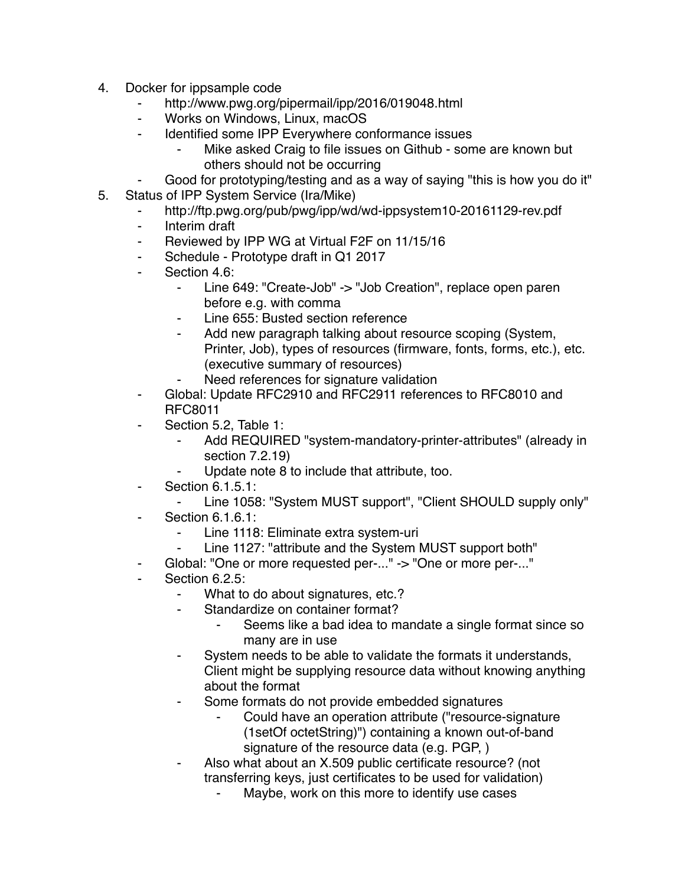- 4. Docker for ippsample code
	- http://www.pwg.org/pipermail/ipp/2016/019048.html
	- Works on Windows, Linux, macOS
	- ⁃ Identified some IPP Everywhere conformance issues
		- Mike asked Craig to file issues on Github some are known but others should not be occurring
	- Good for prototyping/testing and as a way of saying "this is how you do it"
- 5. Status of IPP System Service (Ira/Mike)
	- ⁃ http://ftp.pwg.org/pub/pwg/ipp/wd/wd-ippsystem10-20161129-rev.pdf
	- ⁃ Interim draft
	- ⁃ Reviewed by IPP WG at Virtual F2F on 11/15/16
	- ⁃ Schedule Prototype draft in Q1 2017
	- Section 4.6:
		- ⁃ Line 649: "Create-Job" -> "Job Creation", replace open paren before e.g. with comma
		- Line 655: Busted section reference
		- ⁃ Add new paragraph talking about resource scoping (System, Printer, Job), types of resources (firmware, fonts, forms, etc.), etc. (executive summary of resources)
		- Need references for signature validation
	- Global: Update RFC2910 and RFC2911 references to RFC8010 and RFC8011
	- Section 5.2, Table 1:
		- Add REQUIRED "system-mandatory-printer-attributes" (already in section 7.2.19)
		- Update note 8 to include that attribute, too.
	- **Section 6.1.5.1:** 
		- ⁃ Line 1058: "System MUST support", "Client SHOULD supply only"
	- **Section 6.1.6.1:** 
		- Line 1118: Eliminate extra system-uri
		- Line 1127: "attribute and the System MUST support both"
	- Global: "One or more requested per-..." -> "One or more per-..."
	- Section 6.2.5:
		- ⁃ What to do about signatures, etc.?
		- ⁃ Standardize on container format?
			- Seems like a bad idea to mandate a single format since so many are in use
		- System needs to be able to validate the formats it understands, Client might be supplying resource data without knowing anything about the format
		- ⁃ Some formats do not provide embedded signatures
			- Could have an operation attribute ("resource-signature (1setOf octetString)") containing a known out-of-band signature of the resource data (e.g. PGP, )
		- Also what about an X.509 public certificate resource? (not transferring keys, just certificates to be used for validation)
			- Maybe, work on this more to identify use cases